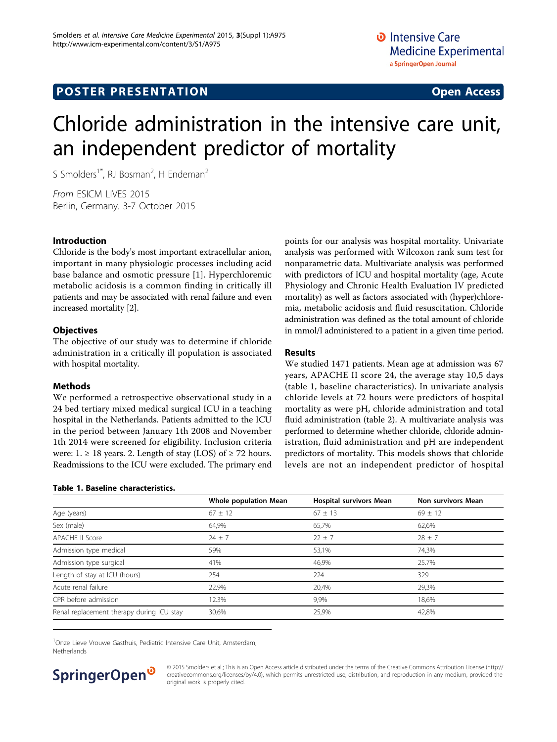# Chloride administration in the intensive care unit, an independent predictor of mortality

S Smolders<sup>1\*</sup>, RJ Bosman<sup>2</sup>, H Endeman<sup>2</sup>

From ESICM LIVES 2015 Berlin, Germany. 3-7 October 2015

## Introduction

Chloride is the body's most important extracellular anion, important in many physiologic processes including acid base balance and osmotic pressure [\[1](#page-1-0)]. Hyperchloremic metabolic acidosis is a common finding in critically ill patients and may be associated with renal failure and even increased mortality [[2](#page-1-0)].

## **Objectives**

The objective of our study was to determine if chloride administration in a critically ill population is associated with hospital mortality.

## Methods

We performed a retrospective observational study in a 24 bed tertiary mixed medical surgical ICU in a teaching hospital in the Netherlands. Patients admitted to the ICU in the period between January 1th 2008 and November 1th 2014 were screened for eligibility. Inclusion criteria were:  $1. \geq 18$  years. 2. Length of stay (LOS) of  $\geq 72$  hours. Readmissions to the ICU were excluded. The primary end

#### Table 1. Baseline characteristics.

points for our analysis was hospital mortality. Univariate analysis was performed with Wilcoxon rank sum test for nonparametric data. Multivariate analysis was performed with predictors of ICU and hospital mortality (age, Acute Physiology and Chronic Health Evaluation IV predicted mortality) as well as factors associated with (hyper)chloremia, metabolic acidosis and fluid resuscitation. Chloride administration was defined as the total amount of chloride in mmol/l administered to a patient in a given time period.

## Results

We studied 1471 patients. Mean age at admission was 67 years, APACHE II score 24, the average stay 10,5 days (table 1, baseline characteristics). In univariate analysis chloride levels at 72 hours were predictors of hospital mortality as were pH, chloride administration and total fluid administration (table [2](#page-1-0)). A multivariate analysis was performed to determine whether chloride, chloride administration, fluid administration and pH are independent predictors of mortality. This models shows that chloride levels are not an independent predictor of hospital

|                                           | Whole population Mean | <b>Hospital survivors Mean</b> | Non survivors Mean |
|-------------------------------------------|-----------------------|--------------------------------|--------------------|
| Age (years)                               | $67 \pm 12$           | $67 + 13$                      | $69 \pm 12$        |
| Sex (male)                                | 64,9%                 | 65,7%                          | 62,6%              |
| <b>APACHE II Score</b>                    | $74 + 7$              | $22 + 7$                       | $28 \pm 7$         |
| Admission type medical                    | 59%                   | 53,1%                          | 74,3%              |
| Admission type surgical                   | 41%                   | 46,9%                          | 25.7%              |
| Length of stay at ICU (hours)             | 254                   | 224                            | 329                |
| Acute renal failure                       | 22.9%                 | 20,4%                          | 29,3%              |
| CPR before admission                      | 12.3%                 | 9,9%                           | 18,6%              |
| Renal replacement therapy during ICU stay | 30.6%                 | 25,9%                          | 42,8%              |
|                                           |                       |                                |                    |

<sup>1</sup>Onze Lieve Vrouwe Gasthuis, Pediatric Intensive Care Unit, Amsterdam, Netherlands

## SpringerOpen<sup>®</sup>

© 2015 Smolders et al.; This is an Open Access article distributed under the terms of the Creative Commons Attribution License [\(http://](http://creativecommons.org/licenses/by/4.0) [creativecommons.org/licenses/by/4.0](http://creativecommons.org/licenses/by/4.0)), which permits unrestricted use, distribution, and reproduction in any medium, provided the original work is properly cited.